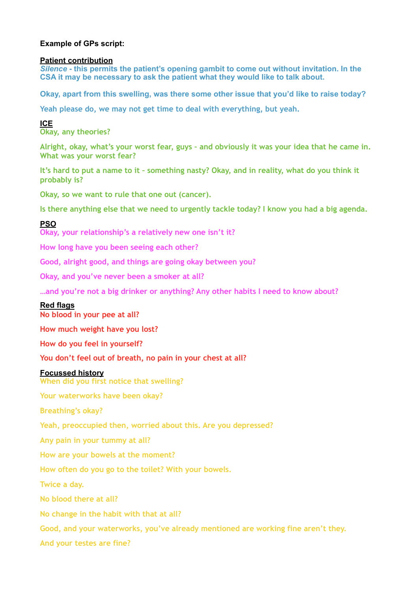# **Example of GPs script:**

## **Patient contribution**

*Silence* **- this permits the patient's opening gambit to come out without invitation. In the CSA it may be necessary to ask the patient what they would like to talk about.** 

**Okay, apart from this swelling, was there some other issue that you'd like to raise today?** 

**Yeah please do, we may not get time to deal with everything, but yeah.**

**ICE** 

**Okay, any theories?** 

**Alright, okay, what's your worst fear, guys – and obviously it was your idea that he came in. What was your worst fear?** 

**It's hard to put a name to it – something nasty? Okay, and in reality, what do you think it probably is?** 

**Okay, so we want to rule that one out (cancer).** 

**Is there anything else that we need to urgently tackle today? I know you had a big agenda.**

## **PSO**

**Okay, your relationship's a relatively new one isn't it?** 

**How long have you been seeing each other?** 

**Good, alright good, and things are going okay between you?** 

**Okay, and you've never been a smoker at all?** 

**…and you're not a big drinker or anything? Any other habits I need to know about?**

## **Red flags**

**No blood in your pee at all?** 

**How much weight have you lost?** 

**How do you feel in yourself?** 

**You don't feel out of breath, no pain in your chest at all?**

## **Focussed history**

**When did you first notice that swelling?**

**Your waterworks have been okay?** 

**Breathing's okay?**

**Yeah, preoccupied then, worried about this. Are you depressed?** 

**Any pain in your tummy at all?** 

**How are your bowels at the moment?** 

**How often do you go to the toilet? With your bowels.** 

**Twice a day.** 

**No blood there at all?** 

**No change in the habit with that at all?** 

**Good, and your waterworks, you've already mentioned are working fine aren't they.** 

**And your testes are fine?**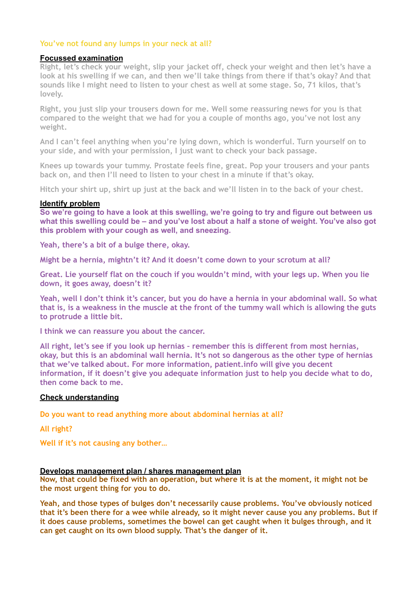# **You've not found any lumps in your neck at all?**

## **Focussed examination**

**Right, let's check your weight, slip your jacket off, check your weight and then let's have a look at his swelling if we can, and then we'll take things from there if that's okay? And that sounds like I might need to listen to your chest as well at some stage. So, 71 kilos, that's lovely.** 

**Right, you just slip your trousers down for me. Well some reassuring news for you is that compared to the weight that we had for you a couple of months ago, you've not lost any weight.** 

**And I can't feel anything when you're lying down, which is wonderful. Turn yourself on to your side, and with your permission, I just want to check your back passage.** 

**Knees up towards your tummy. Prostate feels fine, great. Pop your trousers and your pants back on, and then I'll need to listen to your chest in a minute if that's okay.** 

**Hitch your shirt up, shirt up just at the back and we'll listen in to the back of your chest.**

#### **Identify problem**

**So we're going to have a look at this swelling, we're going to try and figure out between us what this swelling could be – and you've lost about a half a stone of weight. You've also got this problem with your cough as well, and sneezing.** 

**Yeah, there's a bit of a bulge there, okay.** 

**Might be a hernia, mightn't it? And it doesn't come down to your scrotum at all?** 

**Great. Lie yourself flat on the couch if you wouldn't mind, with your legs up. When you lie down, it goes away, doesn't it?**

**Yeah, well I don't think it's cancer, but you do have a hernia in your abdominal wall. So what that is, is a weakness in the muscle at the front of the tummy wall which is allowing the guts to protrude a little bit.** 

**I think we can reassure you about the cancer.** 

**All right, let's see if you look up hernias – remember this is different from most hernias, okay, but this is an abdominal wall hernia. It's not so dangerous as the other type of hernias that we've talked about. For more information, patient.info will give you decent information, if it doesn't give you adequate information just to help you decide what to do, then come back to me.**

## **Check understanding**

**Do you want to read anything more about abdominal hernias at all?**

**All right?**

**Well if it's not causing any bother…** 

#### **Develops management plan / shares management plan**

**Now, that could be fixed with an operation, but where it is at the moment, it might not be the most urgent thing for you to do.** 

**Yeah, and those types of bulges don't necessarily cause problems. You've obviously noticed that it's been there for a wee while already, so it might never cause you any problems. But if it does cause problems, sometimes the bowel can get caught when it bulges through, and it can get caught on its own blood supply. That's the danger of it.**